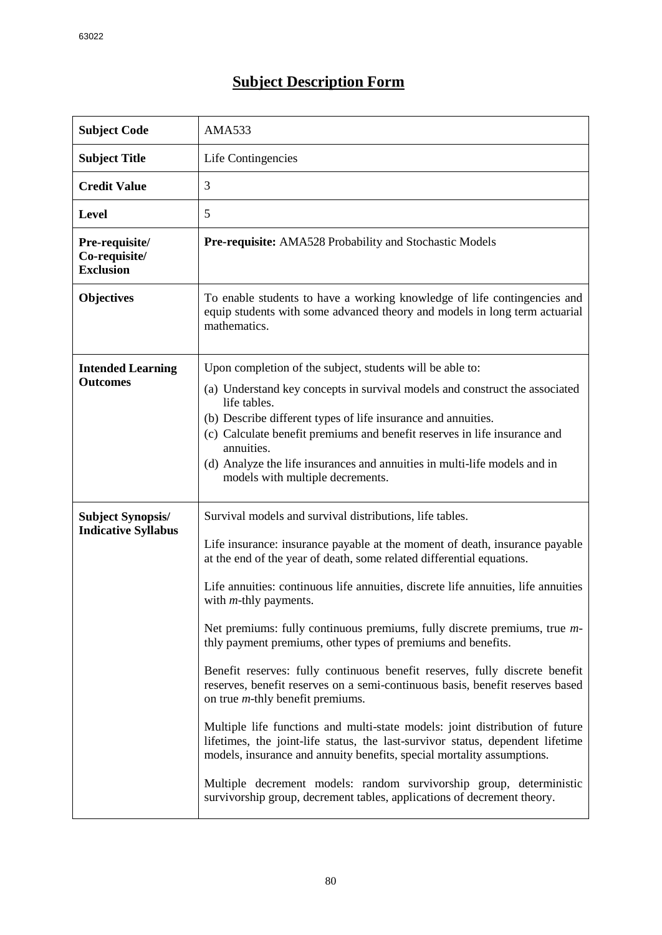## **Subject Description Form**

| <b>Subject Code</b>                                    | <b>AMA533</b>                                                                                                                                                                                                                                                                                                                                                                                                                                                                                                                                                                                                                                                                                                                                                                                                                                                                                                                                                                                                                                                                        |  |  |  |
|--------------------------------------------------------|--------------------------------------------------------------------------------------------------------------------------------------------------------------------------------------------------------------------------------------------------------------------------------------------------------------------------------------------------------------------------------------------------------------------------------------------------------------------------------------------------------------------------------------------------------------------------------------------------------------------------------------------------------------------------------------------------------------------------------------------------------------------------------------------------------------------------------------------------------------------------------------------------------------------------------------------------------------------------------------------------------------------------------------------------------------------------------------|--|--|--|
| <b>Subject Title</b>                                   | Life Contingencies                                                                                                                                                                                                                                                                                                                                                                                                                                                                                                                                                                                                                                                                                                                                                                                                                                                                                                                                                                                                                                                                   |  |  |  |
| <b>Credit Value</b>                                    | 3                                                                                                                                                                                                                                                                                                                                                                                                                                                                                                                                                                                                                                                                                                                                                                                                                                                                                                                                                                                                                                                                                    |  |  |  |
| <b>Level</b>                                           | 5                                                                                                                                                                                                                                                                                                                                                                                                                                                                                                                                                                                                                                                                                                                                                                                                                                                                                                                                                                                                                                                                                    |  |  |  |
| Pre-requisite/<br>Co-requisite/<br><b>Exclusion</b>    | <b>Pre-requisite:</b> AMA528 Probability and Stochastic Models                                                                                                                                                                                                                                                                                                                                                                                                                                                                                                                                                                                                                                                                                                                                                                                                                                                                                                                                                                                                                       |  |  |  |
| <b>Objectives</b>                                      | To enable students to have a working knowledge of life contingencies and<br>equip students with some advanced theory and models in long term actuarial<br>mathematics.                                                                                                                                                                                                                                                                                                                                                                                                                                                                                                                                                                                                                                                                                                                                                                                                                                                                                                               |  |  |  |
| <b>Intended Learning</b><br><b>Outcomes</b>            | Upon completion of the subject, students will be able to:<br>(a) Understand key concepts in survival models and construct the associated<br>life tables.<br>(b) Describe different types of life insurance and annuities.<br>(c) Calculate benefit premiums and benefit reserves in life insurance and<br>annuities.<br>(d) Analyze the life insurances and annuities in multi-life models and in<br>models with multiple decrements.                                                                                                                                                                                                                                                                                                                                                                                                                                                                                                                                                                                                                                                |  |  |  |
| <b>Subject Synopsis/</b><br><b>Indicative Syllabus</b> | Survival models and survival distributions, life tables.<br>Life insurance: insurance payable at the moment of death, insurance payable<br>at the end of the year of death, some related differential equations.<br>Life annuities: continuous life annuities, discrete life annuities, life annuities<br>with $m$ -thly payments.<br>Net premiums: fully continuous premiums, fully discrete premiums, true m-<br>thly payment premiums, other types of premiums and benefits.<br>Benefit reserves: fully continuous benefit reserves, fully discrete benefit<br>reserves, benefit reserves on a semi-continuous basis, benefit reserves based<br>on true $m$ -thly benefit premiums.<br>Multiple life functions and multi-state models: joint distribution of future<br>lifetimes, the joint-life status, the last-survivor status, dependent lifetime<br>models, insurance and annuity benefits, special mortality assumptions.<br>Multiple decrement models: random survivorship group, deterministic<br>survivorship group, decrement tables, applications of decrement theory. |  |  |  |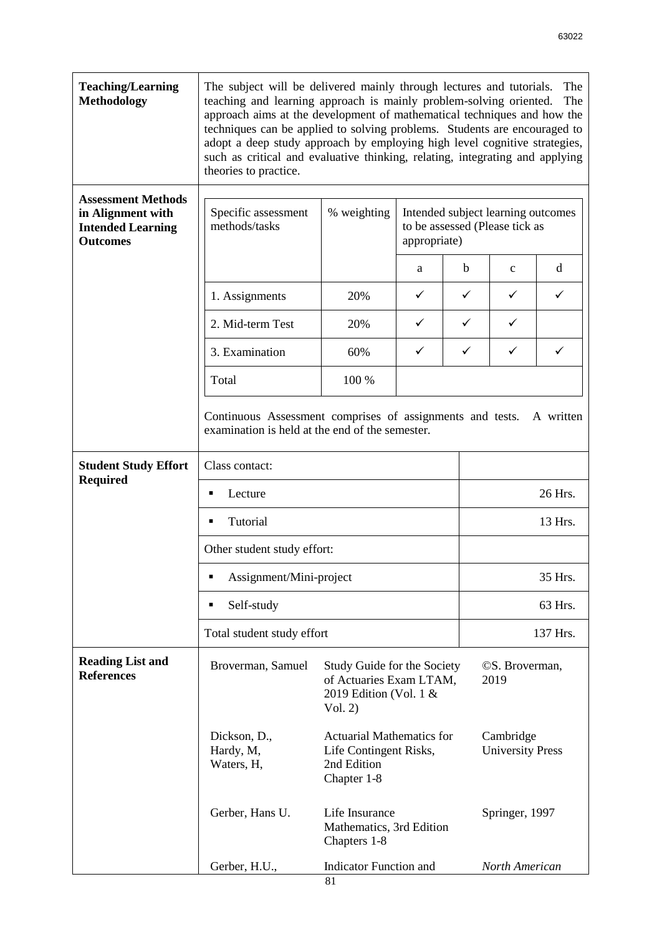| <b>Teaching/Learning</b><br><b>Methodology</b>                                                | The subject will be delivered mainly through lectures and tutorials.<br>The<br>teaching and learning approach is mainly problem-solving oriented.<br>The<br>approach aims at the development of mathematical techniques and how the<br>techniques can be applied to solving problems. Students are encouraged to<br>adopt a deep study approach by employing high level cognitive strategies,<br>such as critical and evaluative thinking, relating, integrating and applying<br>theories to practice. |                                                                                             |              |                |                                                                      |   |  |  |
|-----------------------------------------------------------------------------------------------|--------------------------------------------------------------------------------------------------------------------------------------------------------------------------------------------------------------------------------------------------------------------------------------------------------------------------------------------------------------------------------------------------------------------------------------------------------------------------------------------------------|---------------------------------------------------------------------------------------------|--------------|----------------|----------------------------------------------------------------------|---|--|--|
| <b>Assessment Methods</b><br>in Alignment with<br><b>Intended Learning</b><br><b>Outcomes</b> | Specific assessment<br>methods/tasks                                                                                                                                                                                                                                                                                                                                                                                                                                                                   | % weighting                                                                                 | appropriate) |                | Intended subject learning outcomes<br>to be assessed (Please tick as |   |  |  |
|                                                                                               |                                                                                                                                                                                                                                                                                                                                                                                                                                                                                                        |                                                                                             | a            | b              | $\mathbf{C}$                                                         | d |  |  |
|                                                                                               | 1. Assignments                                                                                                                                                                                                                                                                                                                                                                                                                                                                                         | 20%                                                                                         | ✓            | ✓              | ✓                                                                    | ✓ |  |  |
|                                                                                               | 2. Mid-term Test                                                                                                                                                                                                                                                                                                                                                                                                                                                                                       | 20%                                                                                         | ✓            | ✓              | ✓                                                                    |   |  |  |
|                                                                                               | 3. Examination                                                                                                                                                                                                                                                                                                                                                                                                                                                                                         | 60%                                                                                         | $\checkmark$ | ✓              | $\checkmark$                                                         | ✓ |  |  |
|                                                                                               | Total                                                                                                                                                                                                                                                                                                                                                                                                                                                                                                  | 100 %                                                                                       |              |                |                                                                      |   |  |  |
|                                                                                               | Continuous Assessment comprises of assignments and tests.<br>A written<br>examination is held at the end of the semester.                                                                                                                                                                                                                                                                                                                                                                              |                                                                                             |              |                |                                                                      |   |  |  |
| <b>Student Study Effort</b>                                                                   | Class contact:                                                                                                                                                                                                                                                                                                                                                                                                                                                                                         |                                                                                             |              |                |                                                                      |   |  |  |
| <b>Required</b>                                                                               | Lecture                                                                                                                                                                                                                                                                                                                                                                                                                                                                                                |                                                                                             |              |                | 26 Hrs.                                                              |   |  |  |
|                                                                                               | Tutorial<br>П                                                                                                                                                                                                                                                                                                                                                                                                                                                                                          |                                                                                             |              |                | 13 Hrs.                                                              |   |  |  |
|                                                                                               | Other student study effort:                                                                                                                                                                                                                                                                                                                                                                                                                                                                            |                                                                                             |              |                |                                                                      |   |  |  |
|                                                                                               | Assignment/Mini-project<br>п                                                                                                                                                                                                                                                                                                                                                                                                                                                                           |                                                                                             | 35 Hrs.      |                |                                                                      |   |  |  |
|                                                                                               | Self-study<br>п                                                                                                                                                                                                                                                                                                                                                                                                                                                                                        |                                                                                             |              |                | 63 Hrs.                                                              |   |  |  |
|                                                                                               | Total student study effort                                                                                                                                                                                                                                                                                                                                                                                                                                                                             |                                                                                             |              |                | 137 Hrs.                                                             |   |  |  |
| <b>Reading List and</b><br><b>References</b>                                                  | Broverman, Samuel                                                                                                                                                                                                                                                                                                                                                                                                                                                                                      | Study Guide for the Society<br>of Actuaries Exam LTAM,<br>2019 Edition (Vol. 1 &<br>Vol. 2) |              |                | © S. Broverman,<br>2019                                              |   |  |  |
|                                                                                               | Dickson, D.,<br>Hardy, M,<br>Waters, H,                                                                                                                                                                                                                                                                                                                                                                                                                                                                | <b>Actuarial Mathematics for</b><br>Life Contingent Risks,<br>2nd Edition<br>Chapter 1-8    |              |                | Cambridge<br><b>University Press</b>                                 |   |  |  |
|                                                                                               | Gerber, Hans U.                                                                                                                                                                                                                                                                                                                                                                                                                                                                                        | Life Insurance<br>Mathematics, 3rd Edition<br>Chapters 1-8                                  |              |                | Springer, 1997                                                       |   |  |  |
|                                                                                               | Gerber, H.U.,                                                                                                                                                                                                                                                                                                                                                                                                                                                                                          | Indicator Function and                                                                      |              | North American |                                                                      |   |  |  |